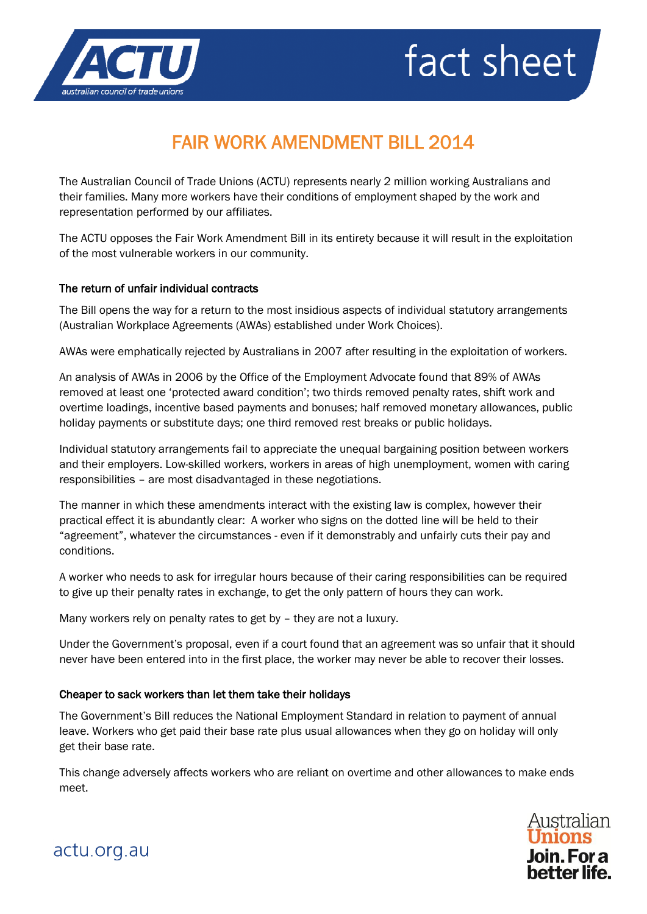

# fact sheet

# FAIR WORK AMENDMENT BILL 2014

The Australian Council of Trade Unions (ACTU) represents nearly 2 million working Australians and their families. Many more workers have their conditions of employment shaped by the work and representation performed by our affiliates.

The ACTU opposes the Fair Work Amendment Bill in its entirety because it will result in the exploitation of the most vulnerable workers in our community.

## The return of unfair individual contracts

The Bill opens the way for a return to the most insidious aspects of individual statutory arrangements (Australian Workplace Agreements (AWAs) established under Work Choices).

AWAs were emphatically rejected by Australians in 2007 after resulting in the exploitation of workers.

An analysis of AWAs in 2006 by the Office of the Employment Advocate found that 89% of AWAs removed at least one 'protected award condition'; two thirds removed penalty rates, shift work and overtime loadings, incentive based payments and bonuses; half removed monetary allowances, public holiday payments or substitute days; one third removed rest breaks or public holidays.

Individual statutory arrangements fail to appreciate the unequal bargaining position between workers and their employers. Low-skilled workers, workers in areas of high unemployment, women with caring responsibilities – are most disadvantaged in these negotiations.

The manner in which these amendments interact with the existing law is complex, however their practical effect it is abundantly clear: A worker who signs on the dotted line will be held to their "agreement", whatever the circumstances - even if it demonstrably and unfairly cuts their pay and conditions.

A worker who needs to ask for irregular hours because of their caring responsibilities can be required to give up their penalty rates in exchange, to get the only pattern of hours they can work.

Many workers rely on penalty rates to get by – they are not a luxury.

Under the Government's proposal, even if a court found that an agreement was so unfair that it should never have been entered into in the first place, the worker may never be able to recover their losses.

#### Cheaper to sack workers than let them take their holidays

The Government's Bill reduces the National Employment Standard in relation to payment of annual leave. Workers who get paid their base rate plus usual allowances when they go on holiday will only get their base rate.

This change adversely affects workers who are reliant on overtime and other allowances to make ends meet.



actu.org.au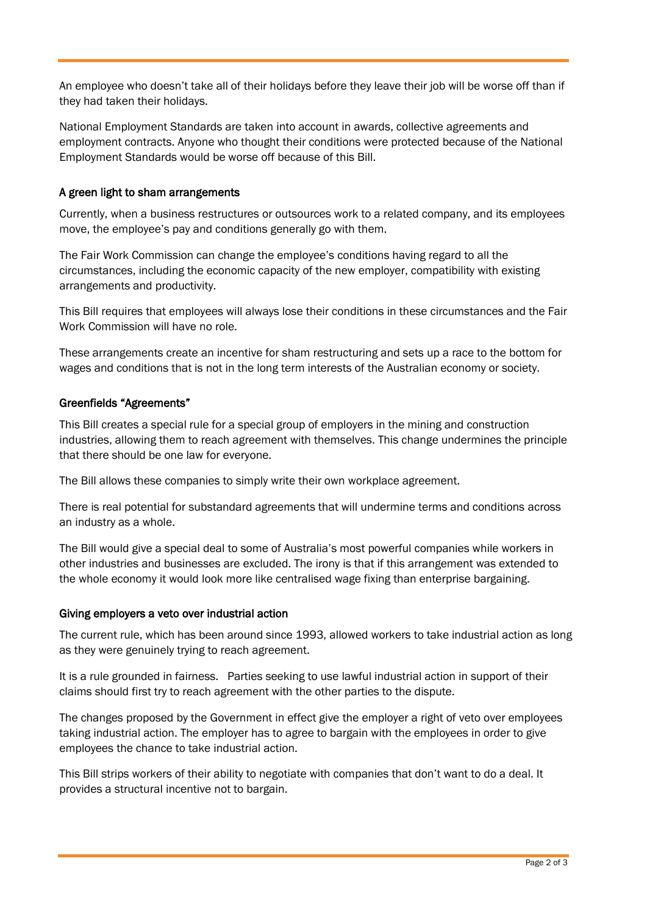An employee who doesn't take all of their holidays before they leave their job will be worse off than if they had taken their holidays.

National Employment Standards are taken into account in awards, collective agreements and employment contracts. Anyone who thought their conditions were protected because of the National Employment Standards would be worse off because of this Bill.

#### A green light to sham arrangements

Currently, when a business restructures or outsources work to a related company, and its employees move, the employee's pay and conditions generally go with them.

The Fair Work Commission can change the employee's conditions having regard to all the circumstances, including the economic capacity of the new employer, compatibility with existing arrangements and productivity.

This Bill requires that employees will always lose their conditions in these circumstances and the Fair Work Commission will have no role.

These arrangements create an incentive for sham restructuring and sets up a race to the bottom for wages and conditions that is not in the long term interests of the Australian economy or society.

#### Greenfields "Agreements"

This Bill creates a special rule for a special group of employers in the mining and construction industries, allowing them to reach agreement with themselves. This change undermines the principle that there should be one law for everyone.

The Bill allows these companies to simply write their own workplace agreement.

There is real potential for substandard agreements that will undermine terms and conditions across an industry as a whole.

The Bill would give a special deal to some of Australia's most powerful companies while workers in other industries and businesses are excluded. The irony is that if this arrangement was extended to the whole economy it would look more like centralised wage fixing than enterprise bargaining.

#### Giving employers a veto over industrial action

The current rule, which has been around since 1993, allowed workers to take industrial action as long as they were genuinely trying to reach agreement.

It is a rule grounded in fairness. Parties seeking to use lawful industrial action in support of their claims should first try to reach agreement with the other parties to the dispute.

The changes proposed by the Government in effect give the employer a right of veto over employees taking industrial action. The employer has to agree to bargain with the employees in order to give employees the chance to take industrial action.

This Bill strips workers of their ability to negotiate with companies that don't want to do a deal. It provides a structural incentive not to bargain.